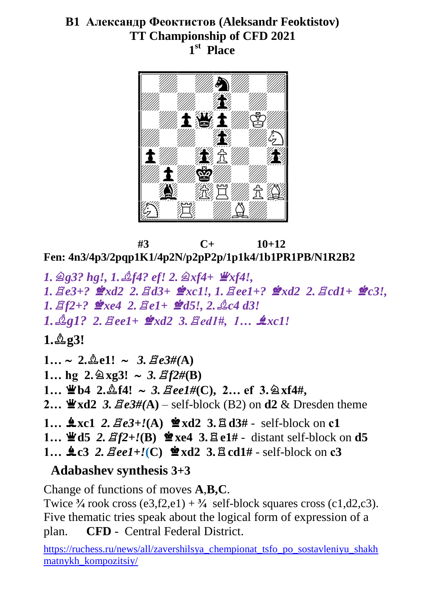## **B1 Александр Феоктистов (Aleksandr Feoktistov) TT Championship of CFD 2021 1 st Place**



 **#3 C+ 10+12 Fen: 4n3/4p3/2pqp1K1/4p2N/p2pP2p/1p1k4/1b1PR1PB/N1R2B2**

*1.*m*g3? hg!, 1.*o*f4? ef! 2.*m*xf4+* 3*xf4!, 1.*q*e3+?* 7*xd2 2.*q*d3+* 7*xc1!, 1.*q*ee1+?* 7*xd2 2.*q*cd1+* 7*c3!, 1.*q*f2+?* 7*xe4 2.*q*e1+* 7*d5!, 2.*o*c4 d3! 1.*o*g1? 2.*q*ee1+* 7*xd2 3.*q*ed1#, 1…* +*xc1!*  $1.293!$  $1... \sim 2.\text{triangle1!} \sim 3.\text{Be3#}(A)$ **1...** hg  $2.\&{x}g3! \sim 3.\&f2\#(B)$ **1… \bethead{** 2. $\triangle$ f4! ~ 3.  $\triangle$ ee1#(C), 2… ef 3.  $\triangle$  xf4#, **2...**  $\mathbf{\Psi} \times \mathbf{d}$  **2**  $\mathbf{3}$ .  $\mathbf{Z} \cdot \mathbf{e}$  3  $\#(\mathbf{A})$  – self-block (B2) on **d2**  $\&$  Dresden theme  $1...$   $\clubsuit$ **xc1** 2.  $\Xi e3+/(A)$   $\cong$ **xd2** 3. $\Xi d3#$  - self-block on **c1 1…**  $\mathbf{\Psi}$ **d5** 2.  $\mathbf{\mathcal{Z}}f2 + \mathbf{I}(\mathbf{B})$   $\mathbf{\Phi} \mathbf{x}$ **e4** 3.  $\mathbf{\mathcal{Z}} \mathbf{e}1 \mathbf{\#}$  - distant self-block on **d5**  $1...$   $\text{4c3 } 2.$   $\text{Bee1+}$ *!*(C)  $\text{4x}$   $\text{xd2 } 3.$   $\text{4c1#}$  - self-block on **c3 Adabashev synthesis 3+3**

Change of functions of moves **A**,**B,C**.

Twice  $\frac{3}{4}$  rook cross (e3,f2,e1) +  $\frac{3}{4}$  self-block squares cross (c1,d2,c3). Five thematic tries speak about the logical form of expression of a plan. **CFD** - Central Federal District.

[https://ruchess.ru/news/all/zavershilsya\\_chempionat\\_tsfo\\_po\\_sostavleniyu\\_shakh](https://ruchess.ru/news/all/zavershilsya_chempionat_tsfo_po_sostavleniyu_shakhmatnykh_kompozitsiy/) [matnykh\\_kompozitsiy/](https://ruchess.ru/news/all/zavershilsya_chempionat_tsfo_po_sostavleniyu_shakhmatnykh_kompozitsiy/)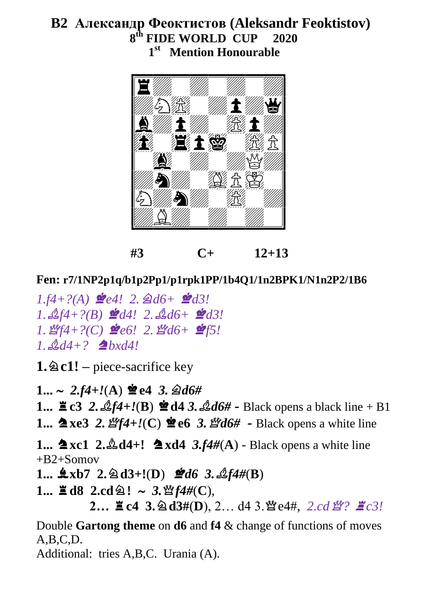# **B2 Александр Феоктистов (Aleksandr Feoktistov) 8 th FIDE WORLD CUP 2020 1 st Mention Honourable**



**#3 C+ 12+13**

## **Fen: r7/1NP2p1q/b1p2Pp1/p1rpk1PP/1b4Q1/1n2BPK1/N1n2P2/1B6**

 $1.f4+?$ (A)  $\mathcal{L}e4!$  2.  $\mathcal{Q}d6+ \mathcal{Q}d3!$  $1. \n\mathcal{L}f4 + ?(B)$   $\mathcal{L}d4!$   $2. \n\mathcal{L}d6 + \mathcal{L}d3!$  $1.$   $\mathcal{L}$ *f4*+?(C)  $\mathcal{L}$ e6! 2.  $\mathcal{L}$ d6+  $\mathcal{L}$ f5!  $1. \triangle 44 + ?$  **2** bxd4!

**1.**m**c1! –** piece-sacrifice key

 $1... \sim 2.54 + l(A)$   $\cong$  e4 3.  $\triangleleft d6 \#$ **1...**  $\leq c3$  2.  $\mathcal{L}f4 + \mathcal{I}(B) \leq d43$ .  $\mathcal{L}d6\#$  - Black opens a black line + B1 **1... ▲ xe3 2.** *曾f4***+!(C) ● e6 3.** *曾d6#* **- Black opens a white line 1...**  $\triangle$  **xc1 2.** $\triangle$  d4+!  $\triangle$  xd4 3.f4#(A) - Black opens a white line  $+B2+Somov$  $1...$   $\&$ xb7 2.  $\&$ d3+!(D)  $\&$ d6 3.  $\&$ f4#(B)  $1... \leq d8$   $2 \cdot cd \geq 3$ ,  $\frac{16}{3} \cdot f4 \cdot f(C)$ ,  $2...$   $\leq$  **c4 3.**  $\otimes$  **d3**#(**D**), 2… d4 3.  $\mathcal{L}$  e4#, 2.cd  $\mathcal{L}$ ?  $\leq$  c3! Double **Gartong theme** on **d6** and **f4** & change of functions of moves  $A, B, C, D$ . Additional: tries A,B,C. Urania (A).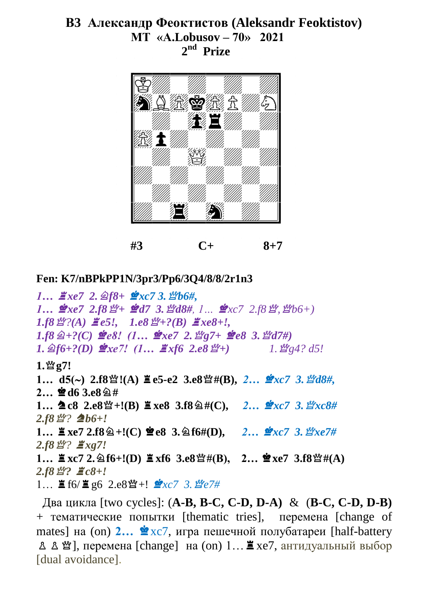### **В3 Александр Феоктистов (Aleksandr Feoktistov) MT «А.Lobusov – 70» 2021 2 nd Prize**



**#3 C+ 8+7**

#### **Fen: K7/nBPkPP1N/3pr3/Pp6/3Q4/8/8/2r1n3**

*1… ∄xe7* **2. 2f8+ 2***xc7* 3. *∑b6#*,  $1...$   $\mathscr{L}xe7$   $2.58$   $\mathscr{L}+$   $\mathscr{L}d7$   $3.$   $\mathscr{L}d8\#$ ,  $1...$   $\mathscr{L}xc7$   $2.58$   $\mathscr{L}$ ,  $\mathscr{L}bb6+$ )  $1.58 \frac{M}{2}(A)$   $\angle e5!$ *,*  $1.68 \frac{M}{2} + ?$ (B)  $\angle x \times 8 + ?$  $1.58 \napprox 4.2$  *(C)*  $\mathcal{L}e8$ ! (1…  $\mathcal{L}xe7$  2.  $\mathcal{L}e7$  +  $\mathcal{L}e8$  3.  $\mathcal{L}d7$ #)  $1. \triangleleft f6+?$ (D)  $\triangleleft xe7!$  (1…  $\triangleleft x f6$  2.e8  $\triangleleft f+$ )  $1. \triangleleft g4?$  d5! **1.**s**g7! 1… d5() 2.f8**s**!(A)** /**e5-e2 3.e8**s**#(B),** *2…* 7*xc7 3.*s*d8#,*  $2...$  $\Phi$ d6 3.e8 $\hat{2}$ #  $1...$   $2 \csc 8$   $2 \cdot e8$   $\mathfrak{B} + !$  (B)  $\Xi$   $xe8$   $3.58$   $\cong$   $\#$  C),  $2...$   $\mathfrak{B}$   $xc7$   $3.$   $\mathfrak{B}xc8$  #  $2.58 \n\mathbb{L}$ ?  $\triangleq b6+.$ **1… ■ xe7 2.f8**  $\hat{\mathbf{2}}$  +!(**C**) **≌ e8** 3.  $\hat{\mathbf{2}}$  f6#(**D**), 2…  $\hat{\mathbf{2}}$ *xc7* 3.  $\hat{\mathbf{2}}$ *xxe7*# *2.f8*s*?* /*xg7!*  $1...$  **2**xc7 **2.**  $\triangle 16+!(D)$  **2**xf6 **3.e8**  $\mathcal{L}$ #(B), **2…**  $\mathcal{L}$ xe7 **3.f8**  $\mathcal{L}$ #(A)  $2.58$   $\frac{197}{2}$   $\frac{17}{2}$   $c8+!$  $1...$   $\equiv$  f6/ $\equiv$  g6 2.e8 $\mathfrak{B}$ +!  $\mathfrak{B}$ xc7 3.  $\mathfrak{B}$ e7#

 Два цикла [two cycles]: (**A-B, B-C, C-D, D-A)** & (**B-C, C-D, D-B)** + тематическиe попытки [thematic tries], перемена [change of mates] на (on) 2... **≌** xc7, игра пешечной полубатареи [half-battery  $\Delta$   $\Delta$   $\mathfrak{B}$ ], перемена [change] на (on) 1… $\Xi$  хе7, антидуальный выбор [dual avoidance].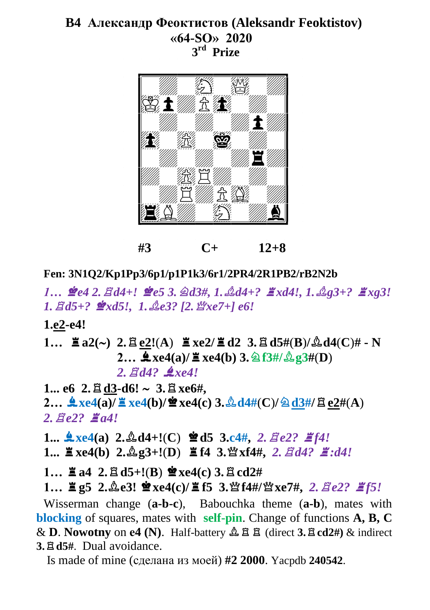# **B4 Александр Феоктистов (Aleksandr Feoktistov) «64-SО» 2020 3 rd Prize**



**#3 C+ 12+8**

**Fen: 3N1Q2/Kp1Pp3/6p1/p1P1k3/6r1/2PR4/2R1PB2/rB2N2b**

*1…* 7*e4 2.*q*d4+!* 7*e5 3.*m*d3#, 1.*o*d4+?* /*xd4!, 1.*o*g3+?* /*xg3! 1.* $\mathbb{E}d5+$ ?  $\mathbb{P}xd5!$ , 1. $\mathbb{E}e3$ ? [2.  $\mathbb{E}xe7+$ ] e6!

**1.e2-e4!**

1... 
$$
\stackrel{\text{m}}{=} a2(\sim) 2. \stackrel{\text{m}}{=} \frac{e2!(A)}{e2} \stackrel{\text{m}}{=} xe2/\stackrel{\text{m}}{=} d2 \stackrel{\text{m}}{=} 3. \stackrel{\text{m}}{=} d5\#(B)/\stackrel{\text{m}}{=} d4(C)\# - N
$$
  
2...  $\stackrel{\textbf{m}}{=} xe4(a)/\stackrel{\text{m}}{=} xe4(b) \stackrel{\text{m}}{=} 3. \stackrel{\text{m}}{=} 3\#(B)$   
2.  $\stackrel{\text{m}}{=} dd?$   $\stackrel{\textbf{m}}{=} xe4!$ 

 $1...$  e6  $2.$  $\Xi$  d3-d6!  $\sim$   $3.$  $\Xi$  xe6#,  $2...$   $\frac{4}{\sqrt{2}}$ xe4(a)/ $\frac{2}{\sqrt{2}}$ xe4(b)/ $\frac{4}{\sqrt{2}}$ xe4(c)  $3.\frac{0}{24}d4#(C)/@d3#/E$ e2#(A)  $2.$  $\text{Re}2$ *?*  $\text{Im}4!$ 

 $1...$   $\frac{4}{7}$ xe4(a)  $2.\& d4+!(C)$   $\cong$  d5  $3.c4$ ,  $2.\&$  *de2?*  $\cong$  *f4!* 

 $1...$   $\mathbb{E} \text{xe4(b)}$   $2.\&g3+!(D)$   $\mathbb{E} \text{f4}$   $3.\&xf4\#$ ,  $2. \&dd2$ .<br> $\mathbb{E} \cdot dd2$ .

 $1... \equiv a4 \cdot 2 \cdot \equiv d5 + !(B) \approx xe4(c) 3 \cdot \equiv cd2\#$ 

 $1...$   $\equiv$ **g5** 2. $\&$ **e3!**  $\cong$ **xe4(c)/** $\equiv$ **f5** 3. $\&$ **f4#/** $\&$ **xe7#,** 2. $\&$  $\equiv$ *e2?*  $\equiv$ *f5!* 

Wisserman change (**a-b-c**), Babouchka theme (**a-b**), mates with **blocking** of squares, mates with **self-pin**. Change of functions **A, B, C**  $\&$  **D**. **Nowotny** on **e4 (N)**. Half-battery  $\&$   $\&$   $\&$   $\&$  **d** (direct **3.**  $\&$  **cd2#)**  $\&$  indirect **3.**q**d5#**. Dual avoidance.

Is made of mine (сделана из моей) **#2 2000**. Yacpdb **240542**.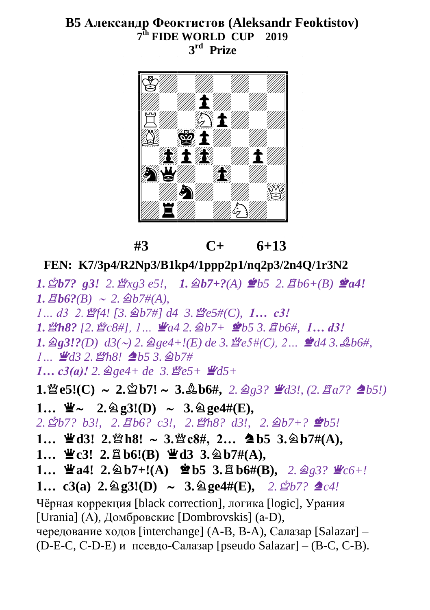### **B5 Александр Феоктистов (Aleksandr Feoktistov) 7 th FIDE WORLD CUP 2019 3 rd Prize**



 **#3 C+ 6+13**

**FEN: K7/3p4/R2Np3/B1kp4/1ppp2p1/nq2p3/2n4Q/1r3N2**

 $1. \angle Bb7$ ? g3! 2.  $\angle xg3$  e5!,  $1. \triangle B7 + ?$ (A)  $\angle Bb5$  2.  $\angle Bb6 + (B) \angle A4!$  $I. \n \Xi b6?$  $(B) \sim 2. \n \triangle B7#$  $(A).$ 

*1… d3 2.*s*f4! [3.*m*b7#] d4 3.*s*e5#(C), 1… c3!* 

*1.*s*h8? [2.*s*c8#], 1…* 3*a4 2.*m*b7+* 7*b5 3.*q*b6#, 1… d3!*

 $1.$   $\mathscr{D}_2 3! ? (D)$   $d3(\sim)$  2.  $\mathscr{D}_2 64 + ! (E)$  de 3.  $\mathscr{D}_2 644 (C), 2...$   $\mathscr{D}_d 4 3$ .  $\mathscr{D}_d 64$ ,  $1 \text{ m}$   $\mathbf{W}$ d3 2.  $\mathbf{W}$ h8! **2**b5 3.  $\mathbf{\hat{A}}$ b7#

 $1...$   $c3(a)!$  2.  $\mathscr{D}_g e4 + de$  3.  $\mathscr{L}_g e5 + \mathscr{L}_g 15 +$ 

 $1.\mathscr{B}$ **e5!(C)**  $\sim 2.\mathscr{B}b7! \sim 3.\mathscr{B}b6\%, 2.\mathscr{B}g3? \mathscr{B}d3!,$  (2.  $\mathscr{B}a7? \triangleq b5!)$ 

 $1...$   $\mathbf{\Psi} \sim 2.\,\mathbf{\hat{a}}\,g3!(D) \sim 3.\,\mathbf{\hat{a}}\,geq 4\#(E),$ 

*2.*u*b7? b3!, 2.*q*b6? c3!, 2.*s*h8? d3!, 2.*m*b7+?* 7*b5!*

**1… 业d3! 2. 业h8!** ~ 3. 些c8#, 2… ▲b5 3. @b7#(A),

- $1...$   $\mathbf{\Psi}$ c3!  $2.\mathbf{B}$  b6!(B)  $\mathbf{\Psi}$ d3  $3.\mathbf{\otimes}$  b7#(A),
- $1...$   $\mathbf{\mathbf{\Psi}}$ a4!  $2.\mathbf{\hat{\otimes}}$  b7+!(A)  $\mathbf{\hat{\Phi}}$  b5  $3.\mathbf{\hat{\boxtimes}}$  b6#(B),  $2.\mathbf{\hat{\otimes}}$ <sub>2</sub>3?  $\mathbf{\mathbf{\Psi}}$ c6+!
- **1… c3(a) 2.** $\hat{\mathbf{2}}$ **g3!(D)**  $\sim$  **3.** $\hat{\mathbf{2}}$ **ge4#(E),** 2. $\hat{\mathbf{2}}$ *b7?*  $\hat{\mathbf{2}}$ *c4!*

Чёрная коррекция [black correction], логика [logic], Урания [Urania] (А), Домбровскис [Dombrovskis] (а-D), чередование ходов [interchange] (A-B, B-A), Салазар [Salazar] –

(D-E-C, С-D-E) и псевдо-Салазар [pseudo Salazar] – (B-C, C-B).